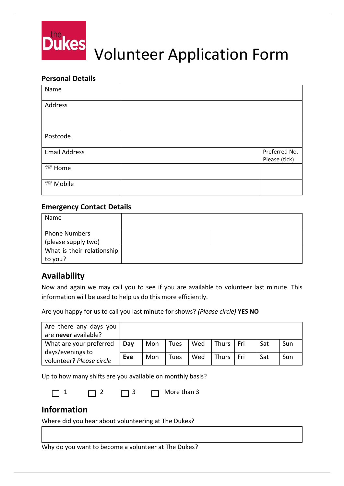

## **Personal Details**

| Name                 |               |
|----------------------|---------------|
| Address              |               |
|                      |               |
| Postcode             |               |
| <b>Email Address</b> | Preferred No. |
|                      | Please (tick) |
| <sup>2</sup> Home    |               |
| <sup>2</sup> Mobile  |               |

## **Emergency Contact Details**

| Name                                        |  |
|---------------------------------------------|--|
| <b>Phone Numbers</b><br>(please supply two) |  |
| What is their relationship<br>to you?       |  |

# **Availability**

Now and again we may call you to see if you are available to volunteer last minute. This information will be used to help us do this more efficiently.

Are you happy for us to call you last minute for shows? *(Please circle)* **YES NO**

| Are there any days you                                                  |     |     |      |     |              |     |     |     |
|-------------------------------------------------------------------------|-----|-----|------|-----|--------------|-----|-----|-----|
| are never available?                                                    |     |     |      |     |              |     |     |     |
| What are your preferred<br>days/evenings to<br>volunteer? Please circle | Day | Mon | Tues | Wed | Thurs        | Fri | Sat | Sun |
|                                                                         | Eve | Mon | Tues | Wed | <b>Thurs</b> | Fri | Sat | Sun |

Up to how many shifts are you available on monthly basis?

|  |  | $\Box$ 3 |  | $\Box$ More than 3 |
|--|--|----------|--|--------------------|
|--|--|----------|--|--------------------|

# **Information**

Where did you hear about volunteering at The Dukes?

Why do you want to become a volunteer at The Dukes?